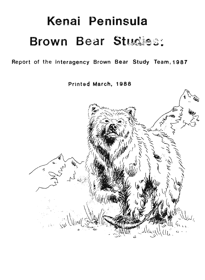# **Kenai Peninsula Brown** Bear

Report of the Interagency Brown Bear Study Team, 1987

Printed March, 1988

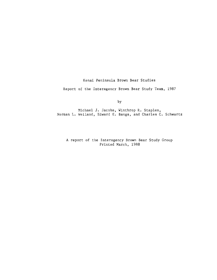Kenai Peninsula Brown Bear Studies

Report of the Interagency Brown Bear Study Team, 1987

by

Michael J. Jacobs, Winthrop R. Staples, Norman L. Weiland, Edward E. Bangs, and Charles C. Schwartz

A report of the Interagency Brown Bear Study Group Printed March, 1988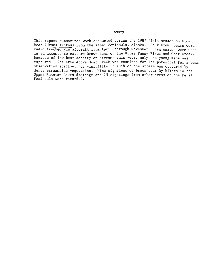## Summary

This report summarizes work conducted during the 1987 field season on brown bear (Ursus arctos) from the Kenai Peninsula, Alaska. Four brown bears were radio tracked via aircraft from April through November. Leg snares were used in an attempt to capture brown bear on the Upper Funny River and Goat Creek. Because of low bear density on streams this year, only one young male was captured. The area above Goat Creek was examined for its potential for a bear observation station, but visibility in much of the stream was obscured by dense streamside vegetation. Nine sightings of brown bear by hikers in the Upper Russian Lakes drainage and 25 sightings from other areas on the Kenai Peninsula were recorded.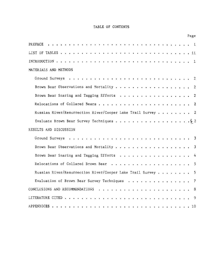## TABLE OF CONTENTS

|                                                             | Page           |
|-------------------------------------------------------------|----------------|
| PREFACE                                                     |                |
|                                                             |                |
|                                                             |                |
| MATERIALS AND METHODS                                       |                |
|                                                             |                |
|                                                             | 2              |
| Brown Bear Snaring and Tagging Efforts                      | $\overline{2}$ |
| Relocations of Collared Bears                               | -2             |
| Russian River/Resurrection River/Cooper Lake Trail Survey 2 |                |
|                                                             |                |
| RESULTS AND DISCUSSION                                      |                |
|                                                             | -3             |
|                                                             | 3              |
| Brown Bear Snaring and Tagging Efforts                      | 4              |
|                                                             |                |
| Russian River/Resurrection River/Cooper Lake Trail Survey 5 |                |
| Evaluation of Brown Bear Survey Techniques 7                |                |
|                                                             | 8              |
|                                                             | 9              |
|                                                             |                |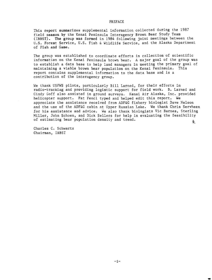## PREFACE

This report summarizes supplemental information collected during the 1987 field season by the Kenai Peninsula Interagency Brown Bear Study Team (IBBST). The group was formed in 1984 following joint meetings between the U.S. Forest Service, U.S. Fish & Wildlife Service, and the Alaska Department of Fish and Game.

The group was established to coordinate efforts in collection of scientific information on the Kenai Peninsula brown bear. A major goal of the group was to establish a data base to help land managers in meeting the primary goal of maintaining a viable brown bear population on the Kenai Peninsula. This report contains supplemental information to the data base and is a contribution of the interagency group.

We thank USFWS pilots, particularly Bill Larned, for their efforts in radio-tracking and providing logistic support for field work. B. Larned and Cindy Goff also assisted in ground surveys. Kenai Air Alaska, Inc. provided helicopter support. Pat Fencl typed and helped edit this report. We appreciate the assistance received from ADF&G fishery biologist Dave Nelson and the use of the ADF&G cabin at Upper Russian Lake. We thank Chris Servheen for his assistance and advice. We also thank biologists Vic Barnes, Sterling Miller, John Schoen, and Dick Sellers for help in evaluating the feasibility of estimating bear population density and trend. કે\_

Charles C. Schwartz Chairman, IBBST

..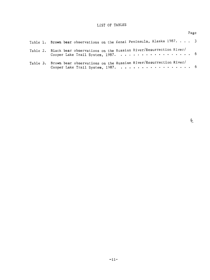# LIST OF TABLES

|                                                                                                                | Page |  |
|----------------------------------------------------------------------------------------------------------------|------|--|
| Table 1. Brown bear observations on the Kenai Peninsula, Alaska 1987. 3                                        |      |  |
| Table 2. Black bear observations on the Russian River/Resurrection River/<br>Cooper Lake Trail System, 1987. 6 |      |  |
| Table 3. Brown bear observations on the Russian River/Resurrection River/                                      |      |  |

 $\sum_{i=1}^{N}$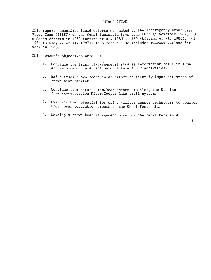#### INTRODUCTION

This report summerizes field efforts conducted by the Interagency Brown Bear Study Team (IBBST) on the Kenai Peninsula from June through November 1987. It updates efforts in 1984 (Bevins et al. 1985), 1985 (Risdahl et al. 1986), and 1986 (Schloeder et al. 1987). This report also includes recommendations for work in 1988.

This season's objectives were to:

- 1. Conclude the feasibility/general studies information begun in 1984 and recommend the direction of future IBBST activities.
- 2. Radio track brown bears in an effort to identify important areas of brown bear habitat.
- 3. Continue to monitor human/bear encounters along the Russian River/Resurrection River/Cooper Lake trail system.
- 4. Evaluate the potential for using various census techniques to monitor brown bear population trends on the Kenai Peninsula.
- 5. Develop a brown bear management plan for the Kenai Peninsula.

 $\tilde{\mathbf{z}}$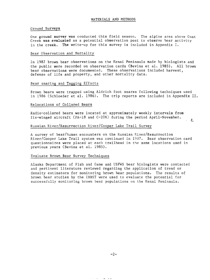#### Ground Surveys

One ground survey was conducted this field season. The alpine area above Goat Creek was evaluated as a potential observation post to observe bear activity in the creek. The write-up for this survey is included in Appendix I.

#### Bear Observation and Mortality

In 1987 brown bear observations on the Kenai Peninsula made by biologists and the public were recorded on observation cards (Bevins et al. 1985). All brown bear observations were documented. These observations included harvest, defense of life and property, and other mortality data.

## Bear snaring and Tagging Efforts

Brown bears were trapped using Aldrich foot snares following techniques used in 1986 (Schloeder et al. 1986). The trip reports are included in Appendix II.

 $\mathcal{E}_{\mathcal{L}}$ 

#### Relocations of Collared Bears

Radio-collared bears were located at approximately weekly intervals from fix-winged aircraft (PA-18 and C-206) during the period April-November.

# Russian River/Resurrection River/Cooper Lake Trail Survey

A survey of bear/human encounters on the Russian River/Resurrection River/Cooper Lake Trail system was continued in 1937. Bear observation card questionnaires were placed at each trailhead in the same locations used in previous years (Bevins et al. 1985).

#### Evaluate Brown Bear Survey Techniques

Alaska Department of Fish and Game and USFWS bear biologists were contacted and pertinent literature reviewed regarding the application of trend or density estimators for monitoring brown bear populations. The results of brown bear studies by the IBBST were used to evaluate the potential for successfully monitoring brown bear populations on the Kenai Peninsula.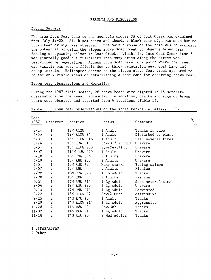#### RESULTS AND DISCUSSION

#### Ground Surveys

The area **from** Goat Lake to the mountain slopes SW of Goat Creek was examined from July 28-30. Six black bears and abundant black bear sign was seen but no brown bear or sign was observed. The main purpose of the trip was to evaluate the potential of using the slopes above Goat Creek to observe brown bear feeding on spawning salmon in Goat Creek. Visibility into Goat Creek itself was generally good but visibility into many areas along the stream was restricted by vegetation. Access from Goat Lake to a point where the creek was visible was very difficult due to thick vegetation near Goat Lake and steep terrain. Helicopter access to the slopes above Goat Creek appeared to be the only viable means of establishing a base camp for observing brown bear.

#### Brown bear Observations and Mortality

During the 1987 field season, 26 brown bears were sighted in 15 separate observations on the Kenai Peninsula. In addition, tracks and sign of brown bears were observed and reported from 6 locations (Table 1).

#### Table 1. Brown bear observations on the Kenai Peninsula, Alaska, 1987.

| Date  |                         |                     |                  |                    | 亳 |
|-------|-------------------------|---------------------|------------------|--------------------|---|
| 1987  | Observer                | Location            | Status           | Comments           |   |
|       |                         |                     |                  |                    |   |
| 3/24  |                         | T2N R12W            | 1 Adult          | Tracks in snow     |   |
| 4/05  | $\overline{2}$          | <b>T2N R10W S4</b>  | 1 Adult          | Disturbed by plane |   |
| 5/0   | $\mathbf 1$             | <b>T5N R10W S16</b> | 1 Adult          | Seen several times |   |
| 5/24  | $\overline{2}$          | T3N R3W S16         | $Sow/3$ 3-yr-old | Unaware            |   |
| 6/0   | $\overline{2}$          | <b>T5N R10W S30</b> | Sow/Yearling     | Unaware            |   |
| 6/07  | 1                       | T10N R3W S29        | 1 Adult          | Unaware            |   |
| 6/18  | $\overline{2}$          | T3N R9W S35         | 2 Adults         | Unaware            |   |
| 6/19  | $\overline{2}$          | T3N R8W S35         | 2 Adults         | Unaware            |   |
| 7/0   | $\mathbf 1$             | T3N R5W S3          | Many tracks      | Eating salmon      |   |
| 7/07  | $\overline{2}$          | T3N R8W             | 3 Adults         | Fishing            |   |
| 7/20  | $\overline{\mathbf{c}}$ | T8N R7W S26         | 1 Sm Adult       | Tracks             |   |
| 7/28  | $\overline{2}$          | T3N R8W             | 2 Adults         | Fishing            |   |
| 9/01  | $\mathbf{1}$            | T7N R9W S14         | 1 Lg Adult       | Seen several times |   |
| 9/06  | $\overline{c}$          | T9N R3W S23         | 1 Lg Adult       | Unaware            |   |
| 9/10  | $\mathbf 1$             | T7N R9W S14         | 1 Lg Adult       | Harvested          |   |
| 9/22  | $\mathbf 1$             | T5N R10W S7         | $Sow/2$ Cubs     | Aggressive         |   |
| 9/25  | $\overline{2}$          | T4N R7W S5          | 1 Adult          | Tracks             |   |
| 9/29  | $\overline{2}$          | <b>T4N R10W S14</b> | 1 Lg Adult       | Aggressive         |   |
| 10/28 | $\overline{2}$          | <b>T1S R8W S2</b>   | Sow/Cub          | Tracks             |   |
| 11/02 | $\overline{2}$          | T4N R6W S10         | 1 Lg Adult       | Tracks             |   |
| 11/18 | $\overline{2}$          | T4N R5W S6          | 2 Med Adults     | Tracks             |   |
|       |                         |                     |                  |                    |   |
|       |                         |                     |                  |                    |   |

1 USFWS/ADF&G

2 Other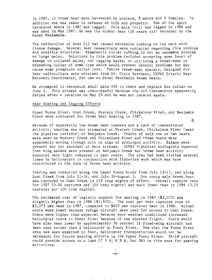In 1987, 12 brown bear were harvested by hunters, 8 males and 4 females. In addition one was taken in defense of life and property. One of the sport harvested bears in 1987 was tagged. This male (012) was tagged in 1986 and was shot in May 1987. He was the oldest bear (26 years old) recorded on the Kenai Peninsula.

The radiocollar of Bear 012 had caused extensive rubbing on the neck with tissue damage. Several bear researchers were contacted regarding this problem and possible solutions. Apparently collar rubbing is not an uncommon problem on large males. Solutions to this problem included accepting some level of damage to collared males, not tagging males, or utilizing a break-away or expanding collar of some type which would prevent chronic problems but may cause some premature collar loss. Twelve break-away spacers, designed for bear radiocollars were obtained from Dr. Chris Servheen, USFWS Grizzly Bear Recovery Coordinator, for use on Kenai Peninsula brown bears.

We attempted to recapture adult male 004 to check and replace his collar on June 2. This attempt was unsuccessful because the old transmitter apparently failed after a location on May 29 and he was not located again.

#### Bear Snaring and Tagging Efforts

Upper Funny River, Goat Creek, Mystery Creek, Chickaloon River, and Benjamin Creek were evaluated for brown bear snaring in 1987. 芝

Because of apparently low brown bear numbers and a lack of concentrated activity, snaring was not attempted at Mystery Creek, Chickaloon River (near the pipeline corridor) or Benjamin Creek. Tracks of only one or two bears were seen on Mystery Creek and Chickaloon River and those bears were apparently moving through with no sign of prolonged activity. Salmon were present but not abundant at both streams. USFWS fisheries biologists reported that king salmon were present at Benjamin Creek but brown bear activity appeared very light compared to past years. The area had been visited several times by helicopters in conjunction with fisheries work which may have contributed to the lack of brown bear activity.

Snaring was conducted along the Upper Funny River from July 13-17, and along Goat Creek from July 21-24, and July 30-August 3. One young male brown bear was captured on Goat Creek in 119 trap nights of effort. Overall capture rate for 1987 (0.84 captures per 100 trap nights) was much lower than in 1986 (3.25 captures per 100 trap nights).

The estimated cost of logistic support for snaring in 1987 (\$3,073) was slightly higher than in 1986 (\$2,500). The cost per bear captured rose to \$3,073 per bear in 1987, compared to \$629 per captured bear in 1986. Actual costs were lower because refuge aircraft were used for access to Goat Creek. Costs were higher than expected because poor weather conditions increased helicopter costs to Funny River because of one aborted flight. Costs would have also been lower by approximately 50 percent if fixed-wing aircraft had been used rather than a helicopter at Funny River. Now that the Funny River area has been examined on foot, helicopter transportation would not be necessary for future snaring efforts in the Upper Funny River. PA-18 aircraft could provide access to a lake  $(T \ 3 \ N, R \ 8 \ W,$  Sec 36) in this area for snaring activities.

 $-4-$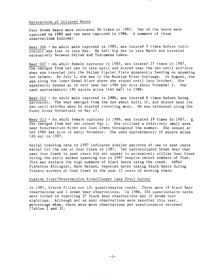# Relocations of Collared Bears

Four brown bears were relocated 56 times in 1987. Two of the bears were captured in 1985 and two were captured in 1986. A summary of those observations follows:

Bear 004 - An adult male captured in 1985, was located 9 times before radio contact was lost in late May. He left his den in late March and traveled extensively between Skilak and Tustumena Lakes.

Bear 007 - An adult female captured in 1985, was located 27 times in 1987. She emerged from her den in late April and stayed near the den until mid-June when she traveled into the Skilak Glacier Flats apparently feeding on spawning red salmon. By July 1, she was in the Russian River drainage. In August, she was along the lower Kenai River where she stayed until late October. She apparently denned at or very near her 1986 den site about November 1. She used approximately 180 square miles (460 km<sup>2</sup>) in 1986.

Bear 012 - An adult male captured in 1986, was located 6 times before being harvested. The bear emerged from the den about April 10, and stayed near the den until mid-May when he started traveling west. He was harvested along the Funny River Horsetrail on May 17.

Bear 013 - An adult female captured in 1986, was located 19 times in 1987.  $\geq$ She emerged from her den around May 1. She utilized a relatively small area<sup>7</sup> near Resurrection River and Goat Creek throughout the summer. She denned at her 1986 den site in early November. She used approximately 10 square miles (26 km) in 1987.

Aerial tracking data in 1987 indicated similar patterns of use to past years except for the use at Goat Creek in 1987. Two radiocollared brown bear that used Goat Creek in past years did not appear to extensively utilize Goat Creek during the early salmon spawning run in 1987 despite record numbers of fish. This may explain the high numbers of black bears using the creek. ADF&G Fisheries Biologist, Dave Nelson, reported never seeing black bears during fishery surveys of Goat Creek in the past 12 years of working there.

# Russian River/Resurrection River/Cooper Lake Trail Survey

In 1987, hikers filled out 121 questionnaire cards. There were 19 black bear observations and 5 brown bear observations. In 1986, 354 questionnaire cards were turned in reporting 37 black bear observations and 10 brown bear sightings. Although not as many observations were reported this year, percentage wise, there were more observations per questionnaire returned  $(Tables 2 and 3)$ .

 $-5-$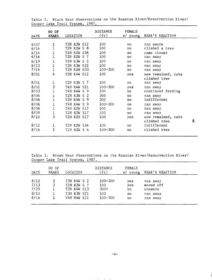| DATE | NO OF<br><b>BEARS</b> | LOCATION                  | <b>DISTANCE</b><br>(ft) | FEMALE<br>w/ young | <b>BEAR'S REACTION</b> |   |
|------|-----------------------|---------------------------|-------------------------|--------------------|------------------------|---|
| 6/07 | 1                     | T3N R3W S12               | 100                     | no                 | ran aware              |   |
| 6/14 | $\mathbf 1$           | T2N R2W<br>$S_8$          | 100                     | no                 | climbed a tree         |   |
| 6/14 | 1                     | <b>T2N R2W S34</b>        | 100                     | $\overline{a}$     | came closer            |   |
| 6/16 | $\overline{1}$        | T2N R2W<br>-S<br>- 7      | 100                     | no                 | ran away               |   |
| 6/19 | 1                     | T2N R3W S 2               | 100                     | no                 | ran away               |   |
| 6/23 | 1                     | T3N R3W S32               | 100                     | no                 | ran away               |   |
| 7/14 | $\mathbf{1}$          | T2N R2W S33               | $100 - 300$             | no                 | ran away               |   |
| 8/01 | 4                     | T3N R4W S12               | 100                     | yes                | sow remained, cubs     |   |
|      |                       |                           |                         |                    | climbed tree           |   |
| 8/01 | $\mathbf{1}$          | T2N R3W S 7               | 100                     | no                 | ran away               |   |
| 8/02 | 3                     | <b>T4N R4W S21</b>        | $100 - 300$             | yes                | ran away               |   |
| 8/03 |                       | T4N R4W<br>S.<br>-9       | 100                     | no                 | continued feeding      |   |
| 8/04 | 1                     | T2N R3W S<br>-2           | 300                     | no                 | ran away               |   |
| 8/06 | 1                     | T2N R4W<br>-S<br>9        | 300                     | no                 | indifferent            |   |
| 8/06 | 1                     | T4N R4W<br>S <sub>9</sub> | 100-300                 | no                 | ran away               |   |
| 8/06 | 1                     | T4N R2W S17               | 100                     | no                 | ran away               |   |
| 8/09 | $\mathbf{1}$          | T2N R2W S17               | 100                     | no                 | ran away               |   |
| 8/10 | 3                     | T2N R2N S17               | 100                     | yes                | sow remained, cubs     |   |
|      |                       |                           |                         |                    | climbed tree           | 흳 |
| 8/12 | 1                     | T2N R2W S34               | 100                     | no                 | indifferent            |   |
| 8/16 | $\overline{2}$        | T2N R2W<br>S<br>-6        | $100 - 300$             | no                 | climbed tree           |   |

Table 2. Black Bear Observations on the Russian River/Resurrection River/ Cooper Lake Trail System, 1987.

Table 3. Brown Bear Observations on the Russian River/Resurrection River/ Cooper Lake Trail System, 1987.

| DATE                                 | NO OF<br><b>BEARS</b> | LOCATION                                                                | DISTANCE<br>(f <sub>t</sub> )                      | FEMALE<br>young<br>W/        | BEAR'S REACTION                                          |  |
|--------------------------------------|-----------------------|-------------------------------------------------------------------------|----------------------------------------------------|------------------------------|----------------------------------------------------------|--|
| 6/12<br>7/13<br>7/25<br>8/10<br>8/16 | 3                     | T3N R4W S 2<br>T2N R2W S 7<br>T3N R4W S13<br>T3N R3W S21<br>T4N R4W S21 | $100 - 300$<br>100<br>$300+$<br>100<br>$100 - 300$ | yes<br>yes<br>no<br>no<br>no | ran away<br>moved off<br>unaware<br>ran away<br>ran away |  |

ستان سال المعاملة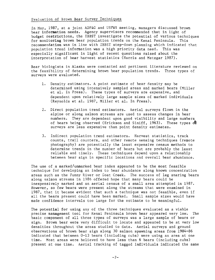#### Evaluation of Brown Bear Survey Techniques

In May, 1987, at a joint ADF&G and USFWS meeting, managers discussed brown bear information needs. Agency supervisors recommended that in light of budget restrictions, the IBBST investigate the potential of various techniques for monitoring brown bear population trends on the Kenai Peninsula. This recommendation was in line with IBBST step-down planning which indicated that population trend information was a high priority data need. This was especially significant in light of recent questions raised about the interpretation of bear harvest statistics (Harris and Metzgar 1987).

Bear biologists in Alaska were contacted and pertinent literature reviewed on the feasibility of determining brown bear population trends. Three types of surveys were evaluated.

- 1. Density estimators. A point estimate of bear density may be determined using intensively sampled areas and marked bears (Miller et al. In Press). These types of surveys are expensive, and dependent upon relatively large sample sizes of marked individuals (Reynolds et al. 1987, Miller et al. In Press).
- 2. Direct population trend estimators. Aerial surveys flown in the alpine or along salmon streams are used to assess changes in bear numbers. They are dependent upon good visibility and large numbers of bears being observed (Erickson and Siniff, 1963). These types  $\frac{1}{\sqrt{2}}$ surveys are less expensive than point density estimates.
- 3. Indirect population trend estimators. Harvest statistics, track counts, trail counters, and other remote sensing techniques (remote photography) are potentially the least expensive census methods to determine trends in the number of bears but are probably the least reliable and timely. These techniques depend upon a relationship between bear sign in specific locations and overall bear abundance.

The use of a marked/unmarked bear index appeared to be the most feasible technique for developing an index to bear abundance along known concentration areas such as the Funny River or Goat Creek. The success of leg snaring bears along salmon streams in 1986 offered hope that many bears could be inexpensively marked and an aerial census of a small area attempted in 1987. However, so few bears were present along the streams that were examined in 1987, that it became evident that such a technique was not feasible, even if all the bears present could have been marked. Small sample sizes would have made confidence intervals too large for the estimate to be meaningful.

The potential for using any of the three techniques evaluated as a viable precise management tool for Kenai Peninsula brown bear appeared very low. The basic component of all three types of surveys was *a* large sample of bears or sign. Brown bear were very difficult to locate and appeared to be at very low densities throughout the areas studied to date. Aerial surveys and ground observations of brown bear sign along 30 salmon spawning areas from 1984-86 indicated that between 0-13 bears (including cubs) were using an area at one time. Most areas were believed to have less than 6 bears (including cubs) present at one time. Aerial tracking of tagged individuals indicated the same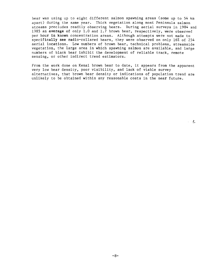bear was using up to eight different salmon spawning areas (some up to 54 km apart) during the same year. Thick vegetation along most Peninsula salmon streams precludes readily observing bears. During aerial surveys in 1984 and 1985 an average of only 1.0 and 1.7 brown bear, respectively, were observed per hour in known concentration areas. Although attempts were not made to specifically see radio-collared bears, they were observed on only 16% of 254 aerial locations. Low numbers of brown bear, technical problems, streamside vegetation, the large area in which spawning salmon are available, and large numbers of black bear inhibit the development of reliable track, remote sensing, or other indirect trend estimators.

From the work done on Kenai brown bear to date, it appears from the apparent very low bear density, poor visibility, and lack of viable survey alternatives, that brown bear density or indications of population trend are unlikely to be obtained within any reasonable costs in the near future.

 $\mathcal{L} = \frac{2}{3}$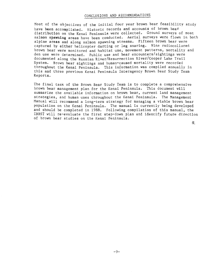# CONCLUSIONS AND RECOMMENDATIONS

Most of the objectives of the initial four year brown bear feasibility study have been accomplished. Historic records and accounts of brown bear distribution on the Kenai Peninsula were collected. Ground surveys of most salmon spawning areas have been conducted. Aerial surveys were flown in both alpine areas and along salmon spawning streams. Fifteen brown bear were captured by either helicopter darting or leg snaring. Nine radiocollared *brown* bear were monitored and habitat use, movement patterns, mortality and den use were determined. Public use and bear encounters/sightings were documented along the Russian River/Resurrection River/Cooper Lake Trail System. Brown bear sightings and human-caused mortality were recorded throughout the Kenai Peninsula. This information was compiled annually in this and three previous Kenai Peninsula Interagency Brown Bear Study Team Reports.

The final task of the Brown Bear Study Team is to complete a comprehensive brown bear management plan for the Kenai Peninsula. This document will summarize the available information on brown bear, current land management strategies, and human uses throughout the Kenai Peninsula. The Management Manual will recommend a long-term strategy for managing a viable brown bear population on the Kenai Peninsula. The manual is currently being developed and should be completed in 1988. Following compilation of this manual, the IBBST will re-evaluate the first step-down plan and identify future direction of brown bear studies on the Kenai Peninsula.

义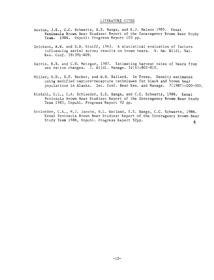#### LITERATURE CITED

- Bevins, J.S., C.C. Schwartz, E.E. Bangs, and K.J. Nelson 1985. Kenai Peninsula Brown Bear Studies: Report of the Interagency Brown Bear Study Team. 1984. Unpubl: Progress Report 103 pp.
- Erickson, A.W. and D.B. Siniff, 1963. A statistical evaluation of factors influencing aerial survey results on brown bears. N. Am. Wildl. Nat. Res. Conf. 28:391-409.
- Harris, R.B. and C.H. Metzgar, 1987. Estimating harvest rates of bears from sex ratios changes. J. Wildl. Manage. 51(4):802-810.
- Miller, S.D., E.F. Becker, and W.B. Ballard. In Press. Density estimates using modified capture-recapture techniques for black and brown bear populations in Alaska. Int. Conf. Bear Res. and Manage. 7(1987):000-000.
- Risdahl, G.L., C.A. Schloeder, E.E. Bangs, and C.C. Schwartz, 1986. Kenai Peninsula Brown Bear Studies: Report of the Interagency Brown Bear Study Team 1985, Unpub1. Progress Report 92 pp.
- Schloeder, C.A., M.J. Jacobs, N.L. Weiland, E.E. Bangs, C.C. Schwartz, 1986. Kenai Peninsula Brown Bear Studies: Report of the Interagency Brown Bear Study Team 1986, Unpubl. Progress Report 52pp. ዿ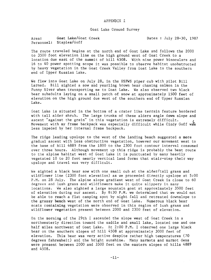## APPENDIX I

Goat Lake Ground Survey

Area: Goat Lake/Goat Creek Dates: July 28-30, 1987 Personnel: Staples/Goff

The route traveled begins at the north end of Goat Lake and follows the 2000 to 3500 foot elevation line on the high ground west of Goat Creek to a location due east of the summit of hill 4508. With nine power binoculars and 16 to 40 power spotting scope it was possible to observe habitat unobstructed by heavy vegetation in the Goat Creek Valley from Goat Lake to the southern end of Upper Russian Lake.

We flew into Goat Lake on July 28, in the USFWS piper cub with pilot Bill Larned. Bill sighted a sow and yearling brown bear chasing salmon in the Funny River when transporting me to Goat Lake. We also observed two black bear subadults laying on a small patch of snow at approximately 1500 feet of elevation on the high ground due west of the southern end of Upper Russian Lake.

Goat Lake is situated in the bottom of a crater like terrain feature bordered with tall alder shrub. The large trunks of these alders angle down slope and ascent "against the grain" in this vegetation is extremely difficult. Movement with my frame backpack was especially difficult while Cindy Goff was less impeded by her internal frame backpack.

The ridge leading upslope to the west of the landing beach suggested a more gradual ascent with less obstructive vegetation, however our movement west to the base of hill 4889 from the 1800 to the 2300 foot contour interval consumed over three hours. Although movement up this ridge is probably the best route to the alpine habitat west of Goat Lake it is punctuated by many heavily vegetated 10 to 20 foot nearly vertical land forms that stair-step their way upslope and travel was very difficult.

We sighted a black bear sow with one small cub at the alder/tall grass and wildflower line (2300 foot elevation) as we proceeded directly upslope at 5:00 P.M. on 28 July. The alpine slope gradient west of Goat Creek is close to 60 degrees and lush grass and wildflowers make it quite slippery in many locations. We also sighted a large mountain goat at approximately 3500 feet of elevation during our ascent. By 8:30 P.M. we determined that we would not be able to reach a flat camping spot by night fall and retreated downslope to the grassy bench west of the north end of Goat Lake. Numerous black bear scats containing vegetation were observed in this region of lush grass and wildflower vegetation present between 2000 and 2300 feet of elevation.

On the morning of the 29th I ascended the slope west of Goat Creek in a northwesterly direction toward the saddle and small lake, located one and one half miles northwest of Goat Lake. At 2:00 P.M. I observed one large black bear on the southern slopes of hill 4508 at approximately 3000 feet of elevation. This bear was very active despite rather high temperatures (70 degrees fahrenheit) and the bright sunshine. Many marmots and marmot dens were present between 2000 and 3500 feet on the eastern slopes of hills 4889 and 4508.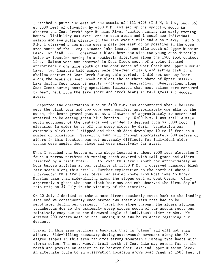I reached a point due east of the summit of hill 4508 (T 3 *N,* R 4 W, Sec. 35) at 3000 feet of elevation by 4:00 P.M. and set up the spotting scope to observe the Goat Creek/Upper Russian River junction during the early evening hours. Visibility was excellent in open areas and I could see individual salmon and sea gulls clearly in the lake over a mile and a half away. At 5:30 P.M. I observed a cow moose over a mile due east of my position in the open area south of the long un-named lake located one mile south of Upper Russian Lake. At 5:48 P.M. I observed a black bear sow with two young cubs directly below my location moving in a southerly direction along the 1500 foot contour line. Salmon were not observed in Goat Creek south of a point located approximately one mile south of the confluence of Goat Creek and Upper Russian Lake. Two immature bald eagles were observed killing and eating fish in a shallow section of Goat Creek during this period. I did not see any bear along the banks of Goat Creek or along the southern shore of Upper Russian Lake during four hours of nearly continuous observation. Observations along Goat Creek during snaring operations indicated that most salmon were consumed by bear, back from the lake shore and creek banks in tall grass and wooded areas.

I departed the observation site at 8:00 P.M. and encountered what I believe were the black bear and two cubs seen earlier, approximately one mile to the south, the bears grazed past me at a distance of approximately 80 meters and appeared to be eating green blue berries. By 10:00 P.M. I was still a mile north northwest of the tentsite and decided to descend from my 3000 foot  $\dot{\xi}$ . elevation in order to be off the steep slopes by dark. Vegetation was extremely slick and I slipped and then skidded downslope 10 to 15 feet on a number of occasions. Traveling down-hill through approximately 300 meters of alders in this location was not extremely difficult for individual alder trunks were angled down slope and were relatively far apart.

When I reached the bottom of the slope located at about 2000 feet elevation I found a narrow north-south running bench covered with tall grass and alders bisected by a faint trail. I followed this trail south for approximately an hour before arriving at our tentsite at 11:30 P.M. I observed numerous black bear scats along this trail. Further exploration to the north of where I intersected this trail may reveal an easier route from Goat Lake to Upper Russian Lake than side-hilling along the slopes west of Goat Creek. Cindy apparently sighted the same black bear sow and cub observed the first day of this trip on 29 July in the vicinity of the tentsite.

On 30 July I decided to take a more direct southerly route back to the landing site and we consequently encountered two shear cliffs that had to be negotiated during our descent. Travel downslope through the alders although treacherous due to the extremely steep slopes south of our ascent route was relatively easy due to the downward angle of individual alder trunks. We arrived 200 meters west of the landing site two hours after beginning our descent.

Travel in this area requires a backpack that is "clean" and will not snag alders. Side-hilling necessary during north-south movement along the 60 degree slopes in this area requires strong mountain climbing type boots with vibram soles. The north-south trail north of Goat Lake may extend far to the north and provide an easier route between Goat Lake and Upper Russian Lake. An alternate route to an observation location above Goat Creek at 1500 feet of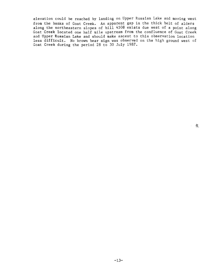elevation could be reached by landing on Upper Russian Lake and moving west from the banks of Goat Creek. An apparent gap in the thick belt of alders along the northeastern slopes of hill 4508 exists due west of a point along Goat Creek located one half mile upstream from the confluence of Goat Creek and Upper Russian Lake and should make ascent to this observation location less difficult. No brown bear sign was observed on the high ground west of Goat Creek during the period 28 to 30 July 1987.

 $\mathbb{R}^2$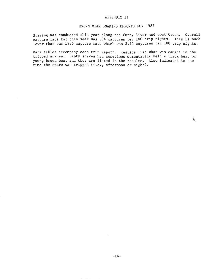#### APPENDIX II

# BROWN BEAR SNARING EFFORTS FOR 1987

Snaring **was** conducted this year along the Funny River and Goat Creek. Overall capture **rate** for this year was .84 captures per 100 trap nights. This is much lower than our 1986 capture rate which was 3.25 captures per 100 trap nights.

Data tables accompany each trip report. Results list what was caught in the tripped snares. Empty snares had sometimes momentarily held a black bear or young brown bear and thus are listed in the results. Also indicated is the time the snare was tripped (i.e., afternoon or night).

毫

 $\frac{1}{2}$  and  $\frac{1}{2}$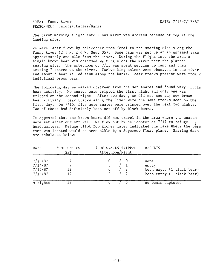AREA: Funny River 2008 2009 2009 2012 2020 2031 2041 2052 2053 2060 2071 2080 2081 2092 2093 2094 2095 2096 20 PERSONNEL: Jacobs/Staples/Bangs

The first morning flight into Funny River was aborted because of fog at the landing site.

We were later flown by helicopter from Kenai to the snaring site along the Funny River (T 3 N, R 8 W, Sec. 35). Base camp was set up at an unnamed lake approximately one mile from the River. During the flight into the area a single brown bear was observed walking along the River near the planned snaring site. The afternoon of 7/13 was spent setting up camp and then setting 7 snares on the river. Twelve king salmon were observed in the river and about 5 bear-killed fish along the banks. Bear tracks present were from 2 individual brown bear.

The following day we walked upstream from the set snares and found very little bear activity. No snares were tripped the first night and only one was tripped on the second night. After two days, we did not see any new brown bear activity. Bear tracks along the River were the same tracks seen on the first day. On 7/15, five more snares were tripped over the next two nights. Two of these had definitely been set off by black bears.

It appeared that the brown bears did not travel in the area where the snares were set after our arrival. We flew out by helicopter on  $7/17$  to refuge headquarters. Refuge pilot Bob Richey later indicated the lake where the base camp was located would be accessible by a Supercub float plane. Snaring data are tabulated below:

| <b>DATE</b>                              | # OF SNARES<br>SET | # OF SNARES TRIPPED<br>Afternoon/Night | <b>RESULTS</b>                                                          |
|------------------------------------------|--------------------|----------------------------------------|-------------------------------------------------------------------------|
| 7/13/87<br>7/14/87<br>7/15/87<br>7/16/87 | 12<br>12           |                                        | none<br>empty<br>both empty (1 black bear)<br>both empty (1 black bear) |
| $4$ nights                               | 38                 |                                        | no bears captured                                                       |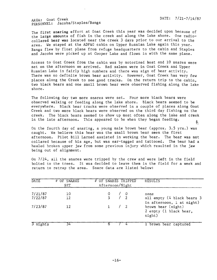AREA: Goat Creek DATE: 7/21-7/14/87 PERSONNEL: Jacobs/Staples/Bangs

The first snaring effort at Goat Creek this year was decided upon because of the large amounts of fish in the creek and along the lake shore. One radiocollared bear was located near the creek 3 days prior to our arrival to the area. We stayed at the ADF&G cabin on Upper Russian Lake again this year. Bangs flew by float plane from refuge headquarters to the cabin and Staples and Jacobs were picked up at Cooper Lake and flown in with the same plane.

Access to Goat Creek from the cabin was by motorized boat and 10 snares were set on the afternoon we arrived. Red salmon were in Goat Creek and Upper Russian Lake in fairly high numbers and there was sign of bear activity. There was no definite brown bear activity. However, Goat Creek has very few places along the Creek to see good tracks. On the return trip to the cabin, two black bears and one small brown bear were observed fishing along the lake shore.

The following day two more snares were set. Four more black bears were observed walking or feeding along the lake shore. Black bears seemed to be everywhere. Black bear tracks were observed in a couple of places along Goat Creek and two more black bears were observed on the third day fishing on the creek. The black bears seemed to show up most often along the lake and creek in the late afternoon. This appeared to be when they began feeding. ş.

On the fourth day of snaring, a young male brown bear (approx. 3.5 yrs.) was caught. We believe this bear was the small brown bear seen the first afternoon. Pilot Bill Larned assisted in working the bear. The bear was not collared because of his age, but was ear-tagged and tattooed. The bear had a healed broken upper jaw from some previous injury which resulted in the jaw being out of alignment.

On 7/24, all the snares were tripped by the crew and were left in the field bolted to the trees. It was decided to leave them in the field for a week and return to retrap the area. Snare data are listed below:

| DATE               | # OF SNARES<br>SET | # OF SNARES TRIPPED<br>Afternoon/Night | <b>RESULTS</b>                                                  |
|--------------------|--------------------|----------------------------------------|-----------------------------------------------------------------|
| 7/21/87<br>7/22/87 | 10<br>12           | $\sqrt{0}$<br>5 / 2                    | none<br>all empty (4 black bears 3<br>in afternoon, 1 at night) |
| 7/23/87            | 12                 |                                        | brown bear (night)<br>2 empty (1 black bear,<br>night)          |
| 3 nights           | 34                 |                                        | 1 brown bear captured                                           |